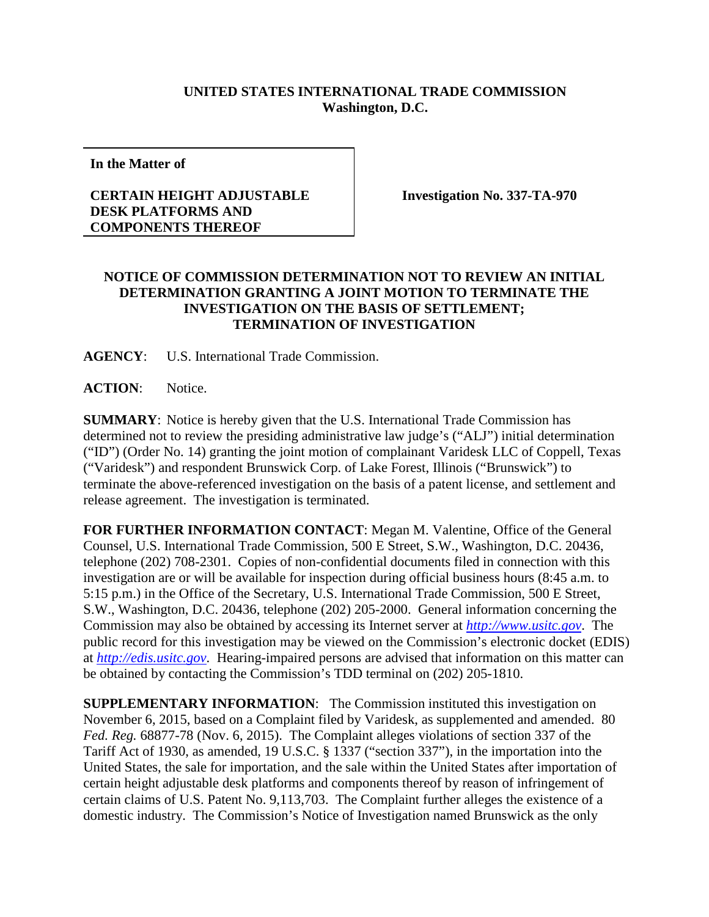## **UNITED STATES INTERNATIONAL TRADE COMMISSION Washington, D.C.**

**In the Matter of**

## **CERTAIN HEIGHT ADJUSTABLE DESK PLATFORMS AND COMPONENTS THEREOF**

**Investigation No. 337-TA-970**

## **NOTICE OF COMMISSION DETERMINATION NOT TO REVIEW AN INITIAL DETERMINATION GRANTING A JOINT MOTION TO TERMINATE THE INVESTIGATION ON THE BASIS OF SETTLEMENT; TERMINATION OF INVESTIGATION**

**AGENCY**: U.S. International Trade Commission.

**ACTION**: Notice.

**SUMMARY**: Notice is hereby given that the U.S. International Trade Commission has determined not to review the presiding administrative law judge's ("ALJ") initial determination ("ID") (Order No. 14) granting the joint motion of complainant Varidesk LLC of Coppell, Texas ("Varidesk") and respondent Brunswick Corp. of Lake Forest, Illinois ("Brunswick") to terminate the above-referenced investigation on the basis of a patent license, and settlement and release agreement. The investigation is terminated.

**FOR FURTHER INFORMATION CONTACT**: Megan M. Valentine, Office of the General Counsel, U.S. International Trade Commission, 500 E Street, S.W., Washington, D.C. 20436, telephone (202) 708-2301. Copies of non-confidential documents filed in connection with this investigation are or will be available for inspection during official business hours (8:45 a.m. to 5:15 p.m.) in the Office of the Secretary, U.S. International Trade Commission, 500 E Street, S.W., Washington, D.C. 20436, telephone (202) 205-2000. General information concerning the Commission may also be obtained by accessing its Internet server at *[http://www.usitc.gov](http://www.usitc.gov/)*. The public record for this investigation may be viewed on the Commission's electronic docket (EDIS) at *[http://edis.usitc.gov](http://edis.usitc.gov/)*. Hearing-impaired persons are advised that information on this matter can be obtained by contacting the Commission's TDD terminal on (202) 205-1810.

**SUPPLEMENTARY INFORMATION:** The Commission instituted this investigation on November 6, 2015, based on a Complaint filed by Varidesk, as supplemented and amended. 80 *Fed. Reg.* 68877-78 (Nov. 6, 2015). The Complaint alleges violations of section 337 of the Tariff Act of 1930, as amended, 19 U.S.C. § 1337 ("section 337"), in the importation into the United States, the sale for importation, and the sale within the United States after importation of certain height adjustable desk platforms and components thereof by reason of infringement of certain claims of U.S. Patent No. 9,113,703. The Complaint further alleges the existence of a domestic industry. The Commission's Notice of Investigation named Brunswick as the only